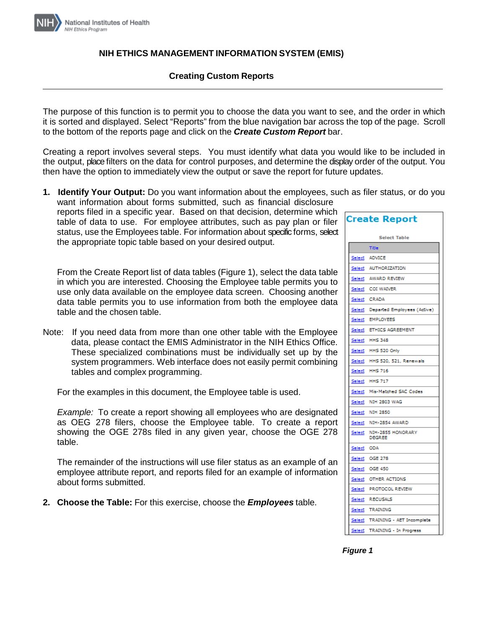

## **NIH ETHICS MANAGEMENT INFORMATION SYSTEM (EMIS)**

# **Creating Custom Reports**

The purpose of this function is to permit you to choose the data you want to see, and the order in which it is sorted and displayed. Select "Reports" from the blue navigation bar across the top of the page. Scroll to the bottom of the reports page and click on the *Create Custom Report* bar.

Creating a report involves several steps. You must identify what data you would like to be included in the output, place filters on the data for control purposes, and determine the display order of the output. You then have the option to immediately view the output or save the report for future updates.

**1. Identify Your Output:** Do you want information about the employees, such as filer status, or do you want information about forms submitted, such as financial disclosure

reports filed in a specific year. Based on that decision, determine which table of data to use. For employee attributes, such as pay plan or filer status, use the Employees table. For information about specific forms, select the appropriate topic table based on your desired output.

From the Create Report list of data tables (Figure 1), select the data table in which you are interested. Choosing the Employee table permits you to use only data available on the employee data screen. Choosing another data table permits you to use information from both the employee data table and the chosen table.

Note: If you need data from more than one other table with the Employee data, please contact the EMIS Administrator in the NIH Ethics Office. These specialized combinations must be individually set up by the system programmers. Web interface does not easily permit combining tables and complex programming.

For the examples in this document, the Employee table is used.

*Example:* To create a report showing all employees who are designated as OEG 278 filers, choose the Employee table. To create a report showing the OGE 278s filed in any given year, choose the OGE 278 table.

The remainder of the instructions will use filer status as an example of an employee attribute report, and reports filed for an example of information about forms submitted.

**2. Choose the Table:** For this exercise, choose the *Employees* table.

| Create Report       |                                    |  |  |  |
|---------------------|------------------------------------|--|--|--|
| <b>Select Table</b> |                                    |  |  |  |
|                     | Title                              |  |  |  |
| <u>Select</u>       | <b>ADVICE</b>                      |  |  |  |
| Select              | <b>AUTHORIZATION</b>               |  |  |  |
| <u>Select</u>       | AWARD REVIEW                       |  |  |  |
|                     | Select COI WAIVER                  |  |  |  |
| <u>Select</u>       | <b>CRADA</b>                       |  |  |  |
| <u>Select</u>       | Departed Employees (Active)        |  |  |  |
|                     | Select EMPLOYEES                   |  |  |  |
| Select              | <b>ETHICS AGREEMENT</b>            |  |  |  |
| <u>Select</u>       | <b>HHS 348</b>                     |  |  |  |
| Select              | HHS 520 Only                       |  |  |  |
| <u>Select</u>       | HHS 520, 521, Renewals             |  |  |  |
| <u>Select</u>       | <b>HHS 716</b>                     |  |  |  |
| <u>Select</u>       | <b>HHS 717</b>                     |  |  |  |
| <u>Select</u>       | Mis-Matched SAC Codes              |  |  |  |
| Select              | <b>NIH 2803 WAG</b>                |  |  |  |
| <u>Select</u>       | <b>NIH 2850</b>                    |  |  |  |
| <u>Select</u>       | NIH-2854 AWARD                     |  |  |  |
| <u>Select</u>       | NIH-2855 HONORARY<br><b>DEGREE</b> |  |  |  |
| Select              | ODA                                |  |  |  |
|                     | Select OGE 278                     |  |  |  |
| <u>Select</u>       | <b>OGE 450</b>                     |  |  |  |
| Select              | <b>OTHER ACTIONS</b>               |  |  |  |
| <u>Select</u>       | PROTOCOL REVIEW                    |  |  |  |
| <u>Select</u>       | <b>RECUSALS</b>                    |  |  |  |
| <u>Select</u>       | <b>TRAINING</b>                    |  |  |  |
| Select              | TRAINING - AET Incomplete          |  |  |  |
| <u>Select</u>       | TRAINING - In Progress             |  |  |  |

 *Figure 1*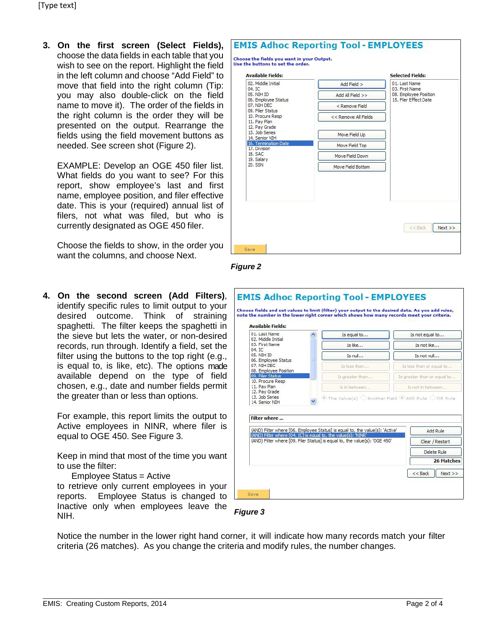**3. On the first screen (Select Fields),**  choose the data fields in each table that you wish to see on the report. Highlight the field in the left column and choose "Add Field" to move that field into the right column (Tip: you may also double-click on the field name to move it). The order of the fields in the right column is the order they will be presented on the output. Rearrange the fields using the field movement buttons as needed. See screen shot (Figure 2).

EXAMPLE: Develop an OGE 450 filer list. What fields do you want to see? For this report, show employee's last and first name, employee position, and filer effective date. This is your (required) annual list of filers, not what was filed, but who is currently designated as OGE 450 filer.

Choose the fields to show, in the order you want the columns, and choose Next.

| <b>Available Fields:</b>                                                                                                                                                                      |                      | Selected Fields:                                                                  |
|-----------------------------------------------------------------------------------------------------------------------------------------------------------------------------------------------|----------------------|-----------------------------------------------------------------------------------|
| 02. Middle Initial<br>04. IC<br>05. NIH ID<br>06. Employee Status<br>07. NIH DEC<br>09. Filer Status<br>10. Procure Resp<br>11. Pav Plan<br>12. Pay Grade<br>13. Job Series<br>14. Senior NIH | Add Field >          | 01. Last Name<br>03. First Name<br>08. Employee Position<br>15. Filer Effect Date |
|                                                                                                                                                                                               | Add All Field >>     |                                                                                   |
|                                                                                                                                                                                               | < Remove Field       |                                                                                   |
|                                                                                                                                                                                               | << Remove All Fields |                                                                                   |
|                                                                                                                                                                                               | Move Field Up        |                                                                                   |
| 16. Termination Date<br>17. Division<br>18. SAC<br>19. Salary<br>20. SSN                                                                                                                      | Move Field Top       |                                                                                   |
|                                                                                                                                                                                               | Move Field Down      |                                                                                   |
|                                                                                                                                                                                               | Move Field Bottom    |                                                                                   |
|                                                                                                                                                                                               |                      | Next                                                                              |
|                                                                                                                                                                                               |                      | << Back                                                                           |



**4. On the second screen (Add Filters)**, identify specific rules to limit output to your desired outcome. Think of straining spaghetti. The filter keeps the spaghetti in the sieve but lets the water, or non-desired records, run through. Identify a field, set the filter using the buttons to the top right (e.g., is equal to, is like, etc). The options made available depend on the type of field chosen, e.g., date and number fields permit the greater than or less than options.

For example, this report limits the output to Active employees in NINR, where filer is equal to OGE 450. See Figure 3.

Keep in mind that most of the time you want to use the filter:

### Employee Status = Active

to retrieve only current employees in your reports. Employee Status is changed to  $\lfloor$ Inactive only when employees leave the NIH.

| 01. Last Name                                                 | Is equal to                                                                  | Is not equal to             |  |
|---------------------------------------------------------------|------------------------------------------------------------------------------|-----------------------------|--|
| 02. Middle Initial<br>03. First Name                          | Ts like                                                                      | Is not like                 |  |
| $04.$ TC<br>05. NIH ID                                        | Is null<br>Ξ                                                                 | Is not null                 |  |
| 06. Employee Status<br>07. NIH DEC<br>08. Employee Position   | Is less than                                                                 | Is less than or equal to    |  |
| 09. Filer Status                                              | Is greater than                                                              | Is greater than or equal to |  |
| 10. Procure Resp<br>11. Pav Plan<br>12. Pay Grade             | Is in between                                                                | Is not in between           |  |
| 14. Senior NIH<br>Filter where                                |                                                                              |                             |  |
|                                                               |                                                                              |                             |  |
|                                                               | (AND) Filter where [06. Employee Status] is equal to, the value(s): 'Active' | Add Rule                    |  |
| (AND) Filter where [04. IC] is equal to, the value(s): 'NINR' | (AND) Filter where [09, Filer Status] is equal to, the value(s): 'OGE 450'   | Clear / Restart             |  |
|                                                               |                                                                              | Delete Rule                 |  |
|                                                               |                                                                              | 26 Matches                  |  |



Notice the number in the lower right hand corner, it will indicate how many records match your filter criteria (26 matches). As you change the criteria and modify rules, the number changes.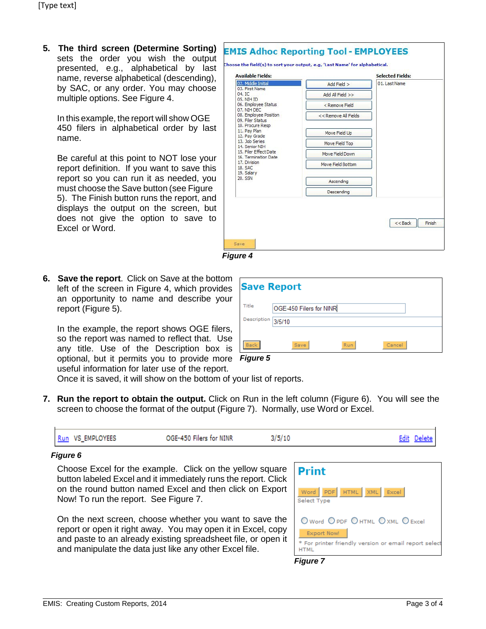**5. The third screen (Determine Sorting)**  sets the order you wish the output presented, e.g., alphabetical by last name, reverse alphabetical (descending), by SAC, or any order. You may choose multiple options. See Figure 4.

In this example, the report will show OGE 450 filers in alphabetical order by last name.

Be careful at this point to NOT lose your report definition. If you want to save this report so you can run it as needed, you must choose the Save button (see Figure 5). The Finish button runs the report, and displays the output on the screen, but does not give the option to save to Excel or Word.

| <b>Available Fields:</b>                                                                                                                                                        |                      | <b>Selected Fields:</b> |
|---------------------------------------------------------------------------------------------------------------------------------------------------------------------------------|----------------------|-------------------------|
| 02. Middle Initial<br>03. First Name<br>04. IC<br>05. NIH ID                                                                                                                    | Add Field >          | 01. Last Name           |
|                                                                                                                                                                                 | Add All Field >>     |                         |
| 06. Employee Status<br>07. NIH DEC                                                                                                                                              | < Remove Field       |                         |
| 08. Employee Position<br>09. Filer Status                                                                                                                                       | << Remove All Fields |                         |
| 10. Procure Resp<br>11. Pay Plan<br>12. Pay Grade<br>13. Job Series<br>14. Senior NIH<br>15. Filer Effect Date<br>16. Termination Date<br>17. Division<br>18. SAC<br>19. Salary |                      |                         |
|                                                                                                                                                                                 | Move Field Up        |                         |
|                                                                                                                                                                                 | Move Field Top       |                         |
|                                                                                                                                                                                 | Move Field Down      |                         |
|                                                                                                                                                                                 | Move Field Bottom    |                         |
| 20. SSN                                                                                                                                                                         | Ascending            |                         |
|                                                                                                                                                                                 | Descending           |                         |

*Figure 4*

**6. Save the report**. Click on Save at the bottom left of the screen in Figure 4, which provides an opportunity to name and describe your report (Figure 5).

In the example, the report shows OGE filers, so the report was named to reflect that. Use any title. Use of the Description box is optional, but it permits you to provide more *Figure 5*

| <b>Save Report</b> |                         |            |        |  |  |
|--------------------|-------------------------|------------|--------|--|--|
| Title              | OGE-450 Filers for NINR |            |        |  |  |
| Description        | 3/5/10                  |            |        |  |  |
| <b>Back</b>        | Save                    | <b>Run</b> | Cancel |  |  |

useful information for later use of the report.

Once it is saved, it will show on the bottom of your list of reports.

**7. Run the report to obtain the output.** Click on Run in the left column (Figure 6). You will see the screen to choose the format of the output (Figure 7). Normally, use Word or Excel.

| OGE-450 Filers for NINR<br>3/5/10<br>Run VS_EMPLOYEES | Edit Delete |  |
|-------------------------------------------------------|-------------|--|
|-------------------------------------------------------|-------------|--|

### *Figure 6*

Choose Excel for the example. Click on the yellow square button labeled Excel and it immediately runs the report. Click on the round button named Excel and then click on Export Now! To run the report. See Figure 7.

On the next screen, choose whether you want to save the report or open it right away. You may open it in Excel, copy and paste to an already existing spreadsheet file, or open it and manipulate the data just like any other Excel file.



*Figure 7*